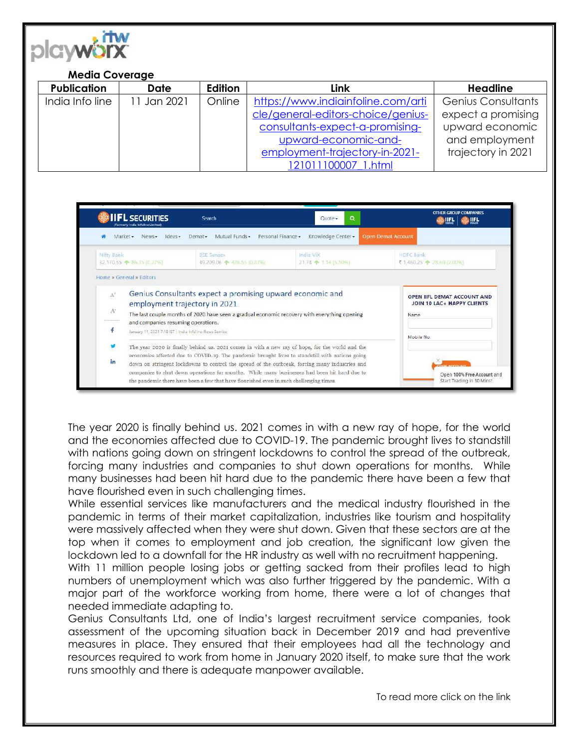

## **Media Coverage**

| <b>Publication</b> | Date        | <b>Edition</b> | Link                               | <b>Headline</b>           |
|--------------------|-------------|----------------|------------------------------------|---------------------------|
| India Info line    | 11 Jan 2021 | Online         | https://www.indiainfoline.com/arti | <b>Genius Consultants</b> |
|                    |             |                | cle/general-editors-choice/genius- | expect a promising        |
|                    |             |                | consultants-expect-a-promising-    | upward economic           |
|                    |             |                | upward-economic-and-               | and employment            |
|                    |             |                | employment-trajectory-in-2021-     | trajectory in 2021        |
|                    |             |                | 121011100007 1.html                |                           |



The year 2020 is finally behind us. 2021 comes in with a new ray of hope, for the world and the economies affected due to COVID-19. The pandemic brought lives to standstill with nations going down on stringent lockdowns to control the spread of the outbreak, forcing many industries and companies to shut down operations for months. While many businesses had been hit hard due to the pandemic there have been a few that have flourished even in such challenging times.

While essential services like manufacturers and the medical industry flourished in the pandemic in terms of their market capitalization, industries like tourism and hospitality were massively affected when they were shut down. Given that these sectors are at the top when it comes to employment and job creation, the significant low given the lockdown led to a downfall for the HR industry as well with no recruitment happening.

With 11 million people losing jobs or getting sacked from their profiles lead to high numbers of unemployment which was also further triggered by the pandemic. With a major part of the workforce working from home, there were a lot of changes that needed immediate adapting to.

Genius Consultants Ltd, one of India's largest recruitment service companies, took assessment of the upcoming situation back in December 2019 and had preventive measures in place. They ensured that their employees had all the technology and resources required to work from home in January 2020 itself, to make sure that the work runs smoothly and there is adequate manpower available.

To read more click on the link